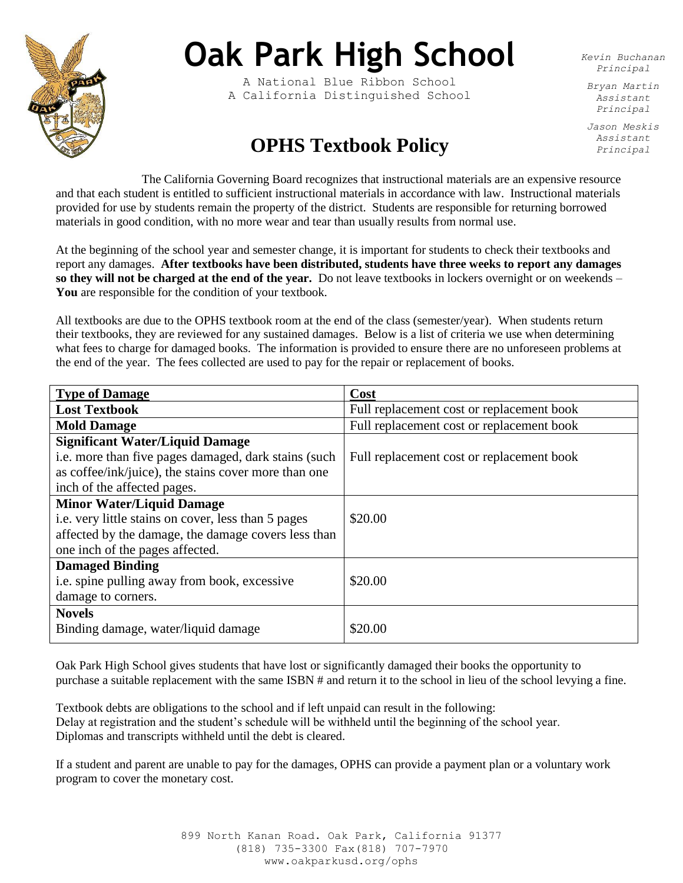

## **Oak Park High School**

A National Blue Ribbon School A California Distinguished School *Kevin Buchanan Principal*

*Bryan Martin Assistant Principal*

*Jason Meskis Assistant Principal*

## **OPHS Textbook Policy**

The California Governing Board recognizes that instructional materials are an expensive resource and that each student is entitled to sufficient instructional materials in accordance with law. Instructional materials provided for use by students remain the property of the district. Students are responsible for returning borrowed materials in good condition, with no more wear and tear than usually results from normal use.

At the beginning of the school year and semester change, it is important for students to check their textbooks and report any damages. **After textbooks have been distributed, students have three weeks to report any damages so they will not be charged at the end of the year.** Do not leave textbooks in lockers overnight or on weekends – **You** are responsible for the condition of your textbook.

All textbooks are due to the OPHS textbook room at the end of the class (semester/year). When students return their textbooks, they are reviewed for any sustained damages. Below is a list of criteria we use when determining what fees to charge for damaged books. The information is provided to ensure there are no unforeseen problems at the end of the year. The fees collected are used to pay for the repair or replacement of books.

| <b>Type of Damage</b>                                | Cost                                      |
|------------------------------------------------------|-------------------------------------------|
| <b>Lost Textbook</b>                                 | Full replacement cost or replacement book |
| <b>Mold Damage</b>                                   | Full replacement cost or replacement book |
| <b>Significant Water/Liquid Damage</b>               |                                           |
| i.e. more than five pages damaged, dark stains (such | Full replacement cost or replacement book |
| as coffee/ink/juice), the stains cover more than one |                                           |
| inch of the affected pages.                          |                                           |
| <b>Minor Water/Liquid Damage</b>                     |                                           |
| i.e. very little stains on cover, less than 5 pages  | \$20.00                                   |
| affected by the damage, the damage covers less than  |                                           |
| one inch of the pages affected.                      |                                           |
| <b>Damaged Binding</b>                               |                                           |
| i.e. spine pulling away from book, excessive         | \$20.00                                   |
| damage to corners.                                   |                                           |
| <b>Novels</b>                                        |                                           |
| Binding damage, water/liquid damage                  | \$20.00                                   |
|                                                      |                                           |

Oak Park High School gives students that have lost or significantly damaged their books the opportunity to purchase a suitable replacement with the same ISBN # and return it to the school in lieu of the school levying a fine.

Textbook debts are obligations to the school and if left unpaid can result in the following: Delay at registration and the student's schedule will be withheld until the beginning of the school year. Diplomas and transcripts withheld until the debt is cleared.

If a student and parent are unable to pay for the damages, OPHS can provide a payment plan or a voluntary work program to cover the monetary cost.